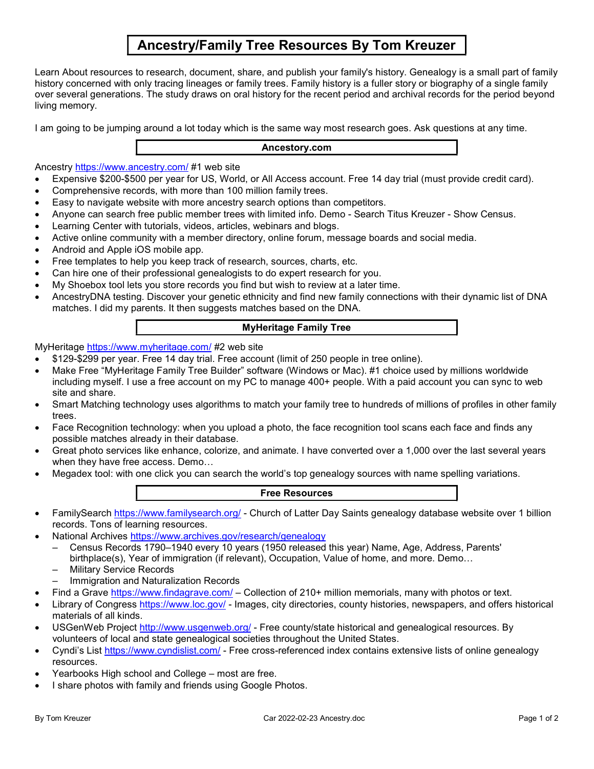# Ancestry/Family Tree Resources By Tom Kreuzer

Learn About resources to research, document, share, and publish your family's history. Genealogy is a small part of family history concerned with only tracing lineages or family trees. Family history is a fuller story or biography of a single family over several generations. The study draws on oral history for the recent period and archival records for the period beyond living memory.

I am going to be jumping around a lot today which is the same way most research goes. Ask questions at any time.

### Ancestory.com

Ancestry https://www.ancestry.com/ #1 web site

- Expensive \$200-\$500 per year for US, World, or All Access account. Free 14 day trial (must provide credit card).
- Comprehensive records, with more than 100 million family trees.
- Easy to navigate website with more ancestry search options than competitors.
- Anyone can search free public member trees with limited info. Demo Search Titus Kreuzer Show Census.
- Learning Center with tutorials, videos, articles, webinars and blogs.
- Active online community with a member directory, online forum, message boards and social media.
- Android and Apple iOS mobile app.
- Free templates to help you keep track of research, sources, charts, etc.
- Can hire one of their professional genealogists to do expert research for you.
- My Shoebox tool lets you store records you find but wish to review at a later time.
- AncestryDNA testing. Discover your genetic ethnicity and find new family connections with their dynamic list of DNA matches. I did my parents. It then suggests matches based on the DNA.

# MyHeritage Family Tree

# MyHeritage https://www.myheritage.com/ #2 web site

- \$129-\$299 per year. Free 14 day trial. Free account (limit of 250 people in tree online).
- Make Free "MyHeritage Family Tree Builder" software (Windows or Mac). #1 choice used by millions worldwide including myself. I use a free account on my PC to manage 400+ people. With a paid account you can sync to web site and share.
- Smart Matching technology uses algorithms to match your family tree to hundreds of millions of profiles in other family trees.
- Face Recognition technology: when you upload a photo, the face recognition tool scans each face and finds any possible matches already in their database.
- Great photo services like enhance, colorize, and animate. I have converted over a 1,000 over the last several years when they have free access. Demo…
- Megadex tool: with one click you can search the world's top genealogy sources with name spelling variations.

### Free Resources

- FamilySearch https://www.familysearch.org/ Church of Latter Day Saints genealogy database website over 1 billion records. Tons of learning resources.
	- National Archives https://www.archives.gov/research/genealogy
		- Census Records 1790–1940 every 10 years (1950 released this year) Name, Age, Address, Parents' birthplace(s), Year of immigration (if relevant), Occupation, Value of home, and more. Demo…
		- Military Service Records
		- Immigration and Naturalization Records
- Find a Grave https://www.findagrave.com/ Collection of 210+ million memorials, many with photos or text.
- Library of Congress https://www.loc.gov/ Images, city directories, county histories, newspapers, and offers historical materials of all kinds.
- USGenWeb Project http://www.usgenweb.org/ Free county/state historical and genealogical resources. By volunteers of local and state genealogical societies throughout the United States.
- Cyndi's List https://www.cyndislist.com/ Free cross-referenced index contains extensive lists of online genealogy resources.
- Yearbooks High school and College most are free.
- I share photos with family and friends using Google Photos.